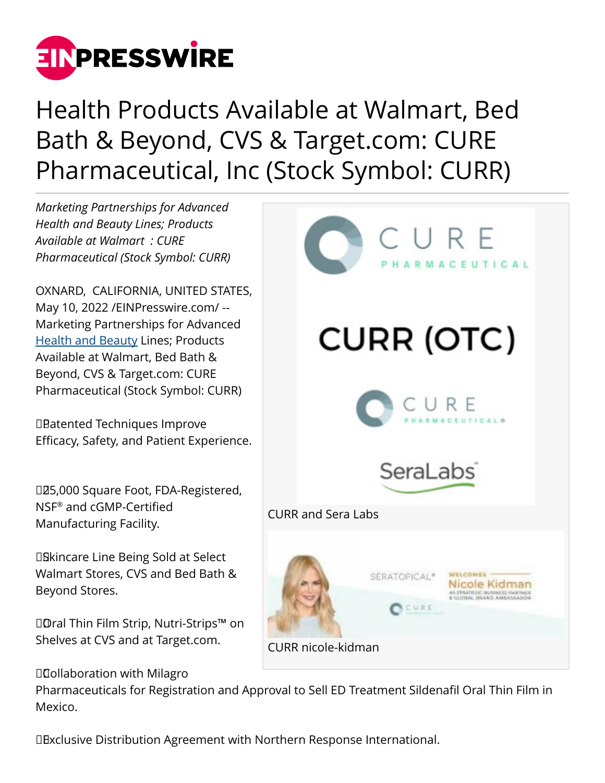

## Health Products Available at Walmart, Bed Bath & Beyond, CVS & Target.com: CURE Pharmaceutical, Inc (Stock Symbol: CURR)

*Marketing Partnerships for Advanced Health and Beauty Lines; Products Available at Walmart : CURE Pharmaceutical (Stock Symbol: CURR)*

OXNARD, CALIFORNIA, UNITED STATES, May 10, 2022 [/EINPresswire.com](http://www.einpresswire.com)/ -- Marketing Partnerships for Advanced [Health and Beauty](https://seralabshealth.com/) Lines; Products Available at Walmart, Bed Bath & Beyond, CVS & Target.com: CURE Pharmaceutical (Stock Symbol: CURR)

 Patented Techniques Improve Efficacy, Safety, and Patient Experience.

 25,000 Square Foot, FDA-Registered, NSF® and cGMP-Certified Manufacturing Facility.

**DBkincare Line Being Sold at Select** Walmart Stores, CVS and Bed Bath & Beyond Stores.

 Oral Thin Film Strip, Nutri-Strips™ on Shelves at CVS and at Target.com.

 Collaboration with Milagro

MACEUTICAL **CURR (OTC)** SeraLabs CURR and Sera Labs **WELCONES** SERATOPICAL® Nicole Kidman CURE CURR nicole-kidman

Pharmaceuticals for Registration and Approval to Sell ED Treatment Sildenafil Oral Thin Film in Mexico.

 Exclusive Distribution Agreement with Northern Response International.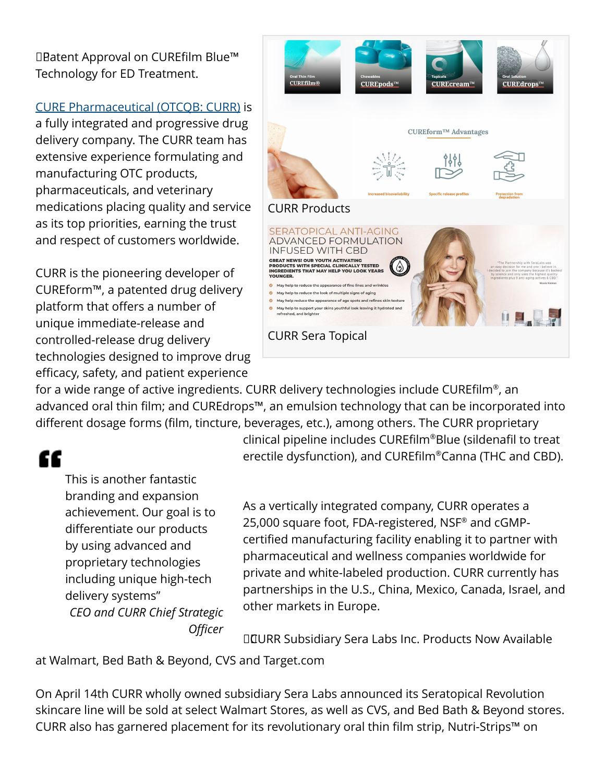Patent Approval on CUREfilm Blue™ Technology for ED Treatment.

## [CURE Pharmaceutical \(OTCQB: CURR\)](https://finance.yahoo.com/quote/curr/) is

a fully integrated and progressive drug delivery company. The CURR team has extensive experience formulating and manufacturing OTC products, pharmaceuticals, and veterinary medications placing quality and service as its top priorities, earning the trust and respect of customers worldwide.

CURR is the pioneering developer of CUREform™, a patented drug delivery platform that offers a number of unique immediate-release and controlled-release drug delivery technologies designed to improve drug efficacy, safety, and patient experience



for a wide range of active ingredients. CURR delivery technologies include CUREfilm®, an advanced oral thin film; and CUREdrops™, an emulsion technology that can be incorporated into different dosage forms (film, tincture, beverages, etc.), among others. The CURR proprietary

## ££

This is another fantastic branding and expansion achievement. Our goal is to differentiate our products by using advanced and proprietary technologies including unique high-tech delivery systems" *CEO and CURR Chief Strategic Officer* clinical pipeline includes CUREfilm®Blue (sildenafil to treat erectile dysfunction), and CUREfilm®Canna (THC and CBD).

As a vertically integrated company, CURR operates a 25,000 square foot, FDA-registered, NSF® and cGMPcertified manufacturing facility enabling it to partner with pharmaceutical and wellness companies worldwide for private and white-labeled production. CURR currently has partnerships in the U.S., China, Mexico, Canada, Israel, and other markets in Europe.

 CURR Subsidiary Sera Labs Inc. Products Now Available

at Walmart, Bed Bath & Beyond, CVS and Target.com

On April 14th CURR wholly owned subsidiary Sera Labs announced its Seratopical Revolution skincare line will be sold at select Walmart Stores, as well as CVS, and Bed Bath & Beyond stores. CURR also has garnered placement for its revolutionary oral thin film strip, Nutri-Strips™ on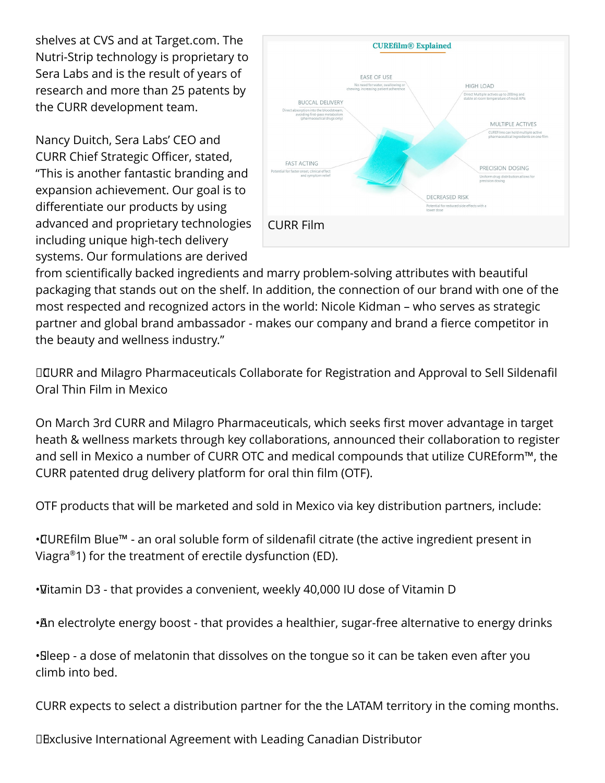shelves at CVS and at Target.com. The Nutri-Strip technology is proprietary to Sera Labs and is the result of years of research and more than 25 patents by the CURR development team.

Nancy Duitch, Sera Labs' CEO and CURR Chief Strategic Officer, stated, "This is another fantastic branding and expansion achievement. Our goal is to differentiate our products by using advanced and proprietary technologies including unique high-tech delivery systems. Our formulations are derived



from scientifically backed ingredients and marry problem-solving attributes with beautiful packaging that stands out on the shelf. In addition, the connection of our brand with one of the most respected and recognized actors in the world: Nicole Kidman – who serves as strategic partner and global brand ambassador - makes our company and brand a fierce competitor in the beauty and wellness industry."

 CURR and Milagro Pharmaceuticals Collaborate for Registration and Approval to Sell Sildenafil Oral Thin Film in Mexico

On March 3rd CURR and Milagro Pharmaceuticals, which seeks first mover advantage in target heath & wellness markets through key collaborations, announced their collaboration to register and sell in Mexico a number of CURR OTC and medical compounds that utilize CUREform™, the CURR patented drug delivery platform for oral thin film (OTF).

OTF products that will be marketed and sold in Mexico via key distribution partners, include:

• CUREfilm Blue™ - an oral soluble form of sildenafil citrate (the active ingredient present in Viagra®1) for the treatment of erectile dysfunction (ED).

• Vitamin D3 - that provides a convenient, weekly 40,000 IU dose of Vitamin D

• An electrolyte energy boost - that provides a healthier, sugar-free alternative to energy drinks

• Sleep - a dose of melatonin that dissolves on the tongue so it can be taken even after you climb into bed.

CURR expects to select a distribution partner for the the LATAM territory in the coming months.

 Exclusive International Agreement with Leading Canadian Distributor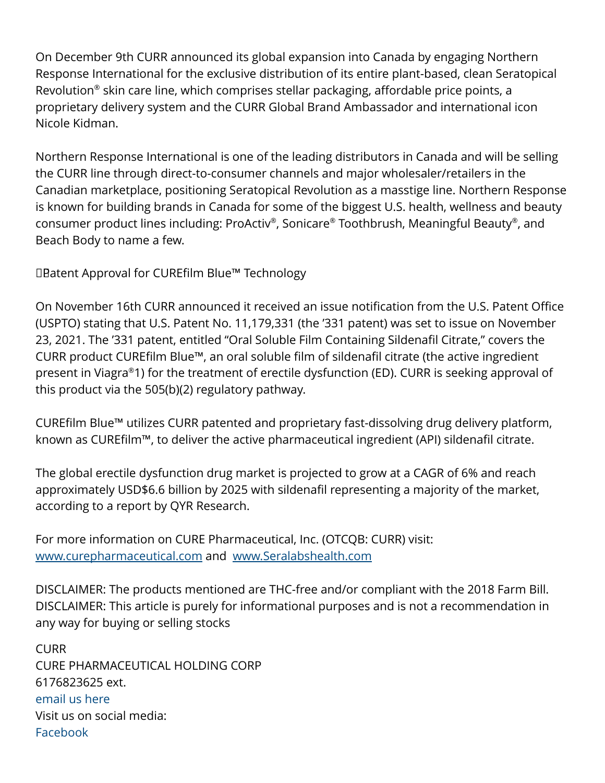On December 9th CURR announced its global expansion into Canada by engaging Northern Response International for the exclusive distribution of its entire plant-based, clean Seratopical Revolution® skin care line, which comprises stellar packaging, affordable price points, a proprietary delivery system and the CURR Global Brand Ambassador and international icon Nicole Kidman.

Northern Response International is one of the leading distributors in Canada and will be selling the CURR line through direct-to-consumer channels and major wholesaler/retailers in the Canadian marketplace, positioning Seratopical Revolution as a masstige line. Northern Response is known for building brands in Canada for some of the biggest U.S. health, wellness and beauty consumer product lines including: ProActiv® , Sonicare® Toothbrush, Meaningful Beauty® , and Beach Body to name a few.

 Patent Approval for CUREfilm Blue™ Technology

On November 16th CURR announced it received an issue notification from the U.S. Patent Office (USPTO) stating that U.S. Patent No. 11,179,331 (the '331 patent) was set to issue on November 23, 2021. The '331 patent, entitled "Oral Soluble Film Containing Sildenafil Citrate," covers the CURR product CUREfilm Blue™, an oral soluble film of sildenafil citrate (the active ingredient present in Viagra®1) for the treatment of erectile dysfunction (ED). CURR is seeking approval of this product via the 505(b)(2) regulatory pathway.

CUREfilm Blue™ utilizes CURR patented and proprietary fast-dissolving drug delivery platform, known as CUREfilm™, to deliver the active pharmaceutical ingredient (API) sildenafil citrate.

The global erectile dysfunction drug market is projected to grow at a CAGR of 6% and reach approximately USD\$6.6 billion by 2025 with sildenafil representing a majority of the market, according to a report by QYR Research.

For more information on CURE Pharmaceutical, Inc. (OTCQB: CURR) visit: [www.curepharmaceutical.com](http://www.curepharmaceutical.com) and [www.Seralabshealth.com](http://www.Seralabshealth.com)

DISCLAIMER: The products mentioned are THC-free and/or compliant with the 2018 Farm Bill. DISCLAIMER: This article is purely for informational purposes and is not a recommendation in any way for buying or selling stocks

CURR CURE PHARMACEUTICAL HOLDING CORP 6176823625 ext. [email us here](http://www.einpresswire.com/contact_author/3479068) Visit us on social media: [Facebook](https://www.facebook.com/CUREPharmaceutical/)